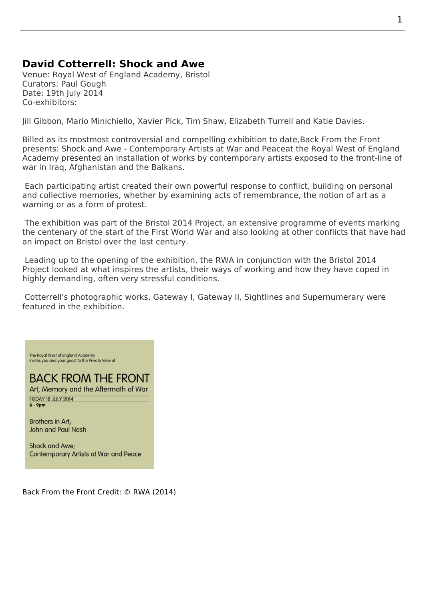## **David Cotterrell: Shock and Awe**

Venue: Royal West of England Academy, Bristol Curators: Paul Gough Date: 19th July 2014 Co-exhibitors:

Jill Gibbon, Mario Minichiello, Xavier Pick, Tim Shaw, Elizabeth Turrell and Katie Davies.

Billed as its mostmost controversial and compelling exhibition to date,Back From the Front presents: Shock and Awe - Contemporary Artists at War and Peaceat the Royal West of England [Academy p](http://www.jillgibbon.co.uk/)[resented an insta](http://www.newcastle.edu.au/profile/mario-minichiello)l[lation of wo](http://www.xavierpick.co.uk/paintings.html)[rks by cont](http://www.timshawsculptor.com/about.php)[emporary artists](https://elizabethturrell.wordpress.com/) exp[osed to the fr](http://www.katiedavies.com/)ont-line of war in Iraq, Afghanistan and the Balkans.

 [Each participating artist created their own powerful response to co](https://rwabristol.wordpress.com/2014/06/30/shock-and-awe-contemporary-artists-at-war-and-peace-19-july-17-september/)nflict, [building on personal](http://www.rwa.org.uk) [and collec](http://www.rwa.org.uk)tive memories, whether by examining acts of remembrance, the notion of art as a warning or as a form of protest.

 The exhibition was part of the Bristol 2014 Project, an extensive programme of events marking the centenary of the start of the First World War and also looking at other conflicts that have had an impact on Bristol over the last century.

 Leading up to the opening of t[he exhibition, the RW](http://www.bristol2014.com/)A in conjunction with the Bristol 2014 Project looked at what inspires the artists, their ways of working and how they have coped in highly demanding, often very stressful conditions.

 Cotterrell's photographic works, Gateway I, Gat[eway](http://www.rwa.org.uk) II, Sightlines and Super[numerary we](http://www.bristol2014.com/)re [feature](http://www.bristol2014.com/)d in the exhibition.

The Royal West of England Academy<br>invites you and your guest to the Private View of

## **BACK FROM THE FRONT**

Art, Memory and the Aftermath of War FRIDAY 18 JULY 2014  $6 - 9$ pm

Brothers in Art; **John and Paul Nash** 

Shock and Awe; **Contemporary Artists at War and Peace** 

Back From the Front Credit: © RWA (2014)